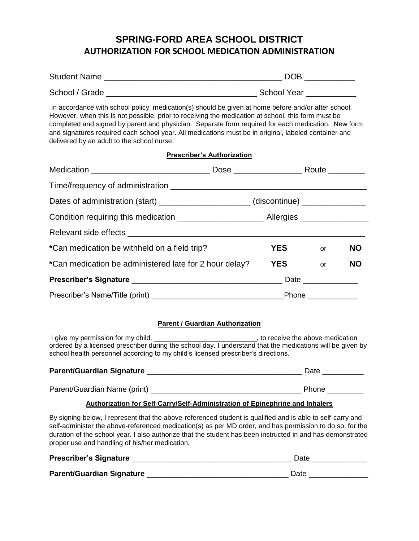# **SPRING-FORD AREA SCHOOL DISTRICT AUTHORIZATION FOR SCHOOL MEDICATION ADMINISTRATION**

| <b>Student Name</b> | ◝◠г |
|---------------------|-----|
|                     |     |

School / Grade \_\_\_\_\_\_\_\_\_\_\_\_\_\_\_\_\_\_\_\_\_\_\_\_\_\_\_\_\_\_\_\_\_ School Year \_\_\_\_\_\_\_\_\_\_\_

In accordance with school policy, medication(s) should be given at home before and/or after school. However, when this is not possible, prior to receiving the medication at school, this form must be completed and signed by parent and physician. Separate form required for each medication. New form and signatures required each school year. All medications must be in original, labeled container and delivered by an adult to the school nurse.

### **Prescriber's Authorization**

| Dates of administration (start) ______________________(discontinue) ____________ |            |                     |           |
|----------------------------------------------------------------------------------|------------|---------------------|-----------|
|                                                                                  |            |                     |           |
|                                                                                  |            |                     |           |
| *Can medication be withheld on a field trip?                                     | <b>YES</b> | or                  | <b>NO</b> |
| *Can medication be administered late for 2 hour delay?                           | <b>YES</b> | or                  | <b>NO</b> |
|                                                                                  |            |                     |           |
|                                                                                  |            | Phone _____________ |           |

### **Parent / Guardian Authorization**

I give my permission for my child, \_\_\_\_\_\_\_\_\_\_\_\_\_\_\_\_\_\_\_\_\_\_\_\_\_\_\_\_\_\_\_, to receive the above medication ordered by a licensed prescriber during the school day. I understand that the medications will be given by school health personnel according to my child's licensed prescriber's directions.

| Parent/Guardian Signature    | Date  |
|------------------------------|-------|
|                              |       |
| Parent/Guardian Name (print) | Phone |

### **Authorization for Self-Carry/Self-Administration of Epinephrine and Inhalers**

By signing below, I represent that the above-referenced student is qualified and is able to self-carry and self-administer the above-referenced medication(s) as per MD order, and has permission to do so, for the duration of the school year. I also authorize that the student has been instructed in and has demonstrated proper use and handling of his/her medication.

| Prescriber's Signature    | Date |
|---------------------------|------|
| Parent/Guardian Signature | Date |